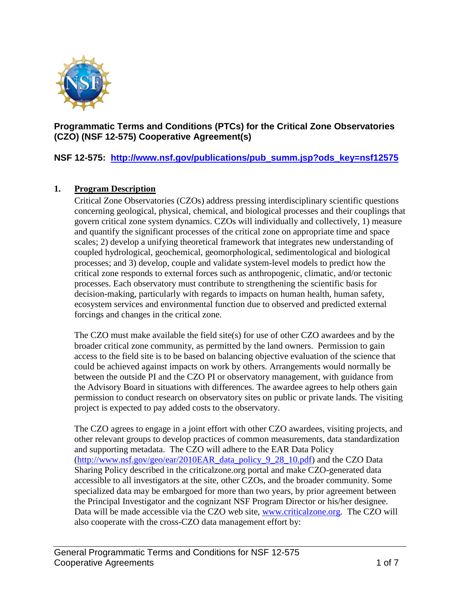

### **Programmatic Terms and Conditions (PTCs) for the Critical Zone Observatories (CZO) (NSF 12-575) Cooperative Agreement(s)**

**NSF 12-575: [http://www.nsf.gov/publications/pub\\_summ.jsp?ods\\_key=nsf12575](http://www.nsf.gov/publications/pub_summ.jsp?ods_key=nsf12575)**

#### **1. Program Description**

Critical Zone Observatories (CZOs) address pressing interdisciplinary scientific questions concerning geological, physical, chemical, and biological processes and their couplings that govern critical zone system dynamics. CZOs will individually and collectively, 1) measure and quantify the significant processes of the critical zone on appropriate time and space scales; 2) develop a unifying theoretical framework that integrates new understanding of coupled hydrological, geochemical, geomorphological, sedimentological and biological processes; and 3) develop, couple and validate system-level models to predict how the critical zone responds to external forces such as anthropogenic, climatic, and/or tectonic processes. Each observatory must contribute to strengthening the scientific basis for decision-making, particularly with regards to impacts on human health, human safety, ecosystem services and environmental function due to observed and predicted external forcings and changes in the critical zone.

The CZO must make available the field site(s) for use of other CZO awardees and by the broader critical zone community, as permitted by the land owners. Permission to gain access to the field site is to be based on balancing objective evaluation of the science that could be achieved against impacts on work by others. Arrangements would normally be between the outside PI and the CZO PI or observatory management, with guidance from the Advisory Board in situations with differences. The awardee agrees to help others gain permission to conduct research on observatory sites on public or private lands. The visiting project is expected to pay added costs to the observatory.

The CZO agrees to engage in a joint effort with other CZO awardees, visiting projects, and other relevant groups to develop practices of common measurements, data standardization and supporting metadata. The CZO will adhere to the EAR Data Policy [\(http://www.nsf.gov/geo/ear/2010EAR\\_data\\_policy\\_9\\_28\\_10.pdf\)](http://www.nsf.gov/geo/ear/2010EAR_data_policy_9_28_10.pdf) and the CZO Data Sharing Policy described in the criticalzone.org portal and make CZO-generated data accessible to all investigators at the site, other CZOs, and the broader community. Some specialized data may be embargoed for more than two years, by prior agreement between the Principal Investigator and the cognizant NSF Program Director or his/her designee. Data will be made accessible via the CZO web site, [www.criticalzone.org.](http://www.criticalzone.org/) The CZO will also cooperate with the cross-CZO data management effort by: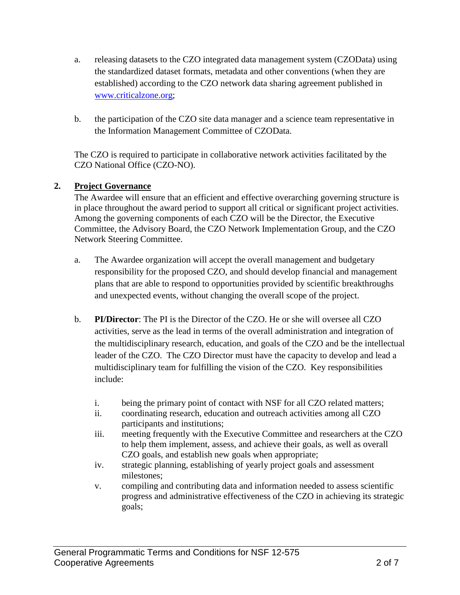- a. releasing datasets to the CZO integrated data management system (CZOData) using the standardized dataset formats, metadata and other conventions (when they are established) according to the CZO network data sharing agreement published in [www.criticalzone.org;](http://www.criticalzone.org/)
- b. the participation of the CZO site data manager and a science team representative in the Information Management Committee of CZOData.

The CZO is required to participate in collaborative network activities facilitated by the CZO National Office (CZO-NO).

## **2. Project Governance**

The Awardee will ensure that an efficient and effective overarching governing structure is in place throughout the award period to support all critical or significant project activities. Among the governing components of each CZO will be the Director, the Executive Committee, the Advisory Board, the CZO Network Implementation Group, and the CZO Network Steering Committee.

- a. The Awardee organization will accept the overall management and budgetary responsibility for the proposed CZO, and should develop financial and management plans that are able to respond to opportunities provided by scientific breakthroughs and unexpected events, without changing the overall scope of the project.
- b. **PI/Director**: The PI is the Director of the CZO. He or she will oversee all CZO activities, serve as the lead in terms of the overall administration and integration of the multidisciplinary research, education, and goals of the CZO and be the intellectual leader of the CZO. The CZO Director must have the capacity to develop and lead a multidisciplinary team for fulfilling the vision of the CZO. Key responsibilities include:
	- i. being the primary point of contact with NSF for all CZO related matters;
	- ii. coordinating research, education and outreach activities among all CZO participants and institutions;
	- iii. meeting frequently with the Executive Committee and researchers at the CZO to help them implement, assess, and achieve their goals, as well as overall CZO goals, and establish new goals when appropriate;
	- iv. strategic planning, establishing of yearly project goals and assessment milestones;
	- v. compiling and contributing data and information needed to assess scientific progress and administrative effectiveness of the CZO in achieving its strategic goals;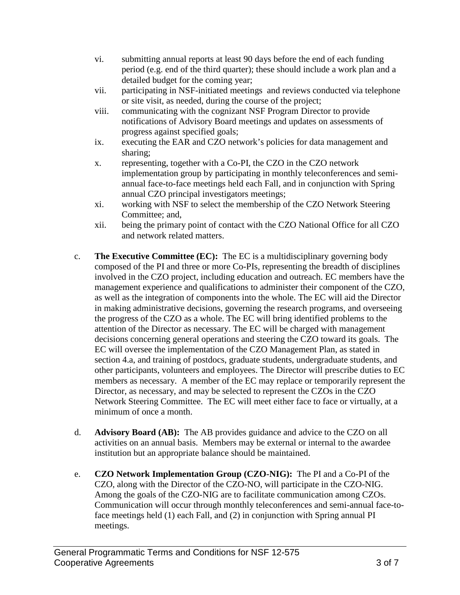- vi. submitting annual reports at least 90 days before the end of each funding period (e.g. end of the third quarter); these should include a work plan and a detailed budget for the coming year;
- vii. participating in NSF-initiated meetings and reviews conducted via telephone or site visit, as needed, during the course of the project;
- viii. communicating with the cognizant NSF Program Director to provide notifications of Advisory Board meetings and updates on assessments of progress against specified goals;
- ix. executing the EAR and CZO network's policies for data management and sharing;
- x. representing, together with a Co-PI, the CZO in the CZO network implementation group by participating in monthly teleconferences and semiannual face-to-face meetings held each Fall, and in conjunction with Spring annual CZO principal investigators meetings;
- xi. working with NSF to select the membership of the CZO Network Steering Committee; and,
- xii. being the primary point of contact with the CZO National Office for all CZO and network related matters.
- c. **The Executive Committee (EC):** The EC is a multidisciplinary governing body composed of the PI and three or more Co-PIs, representing the breadth of disciplines involved in the CZO project, including education and outreach. EC members have the management experience and qualifications to administer their component of the CZO, as well as the integration of components into the whole. The EC will aid the Director in making administrative decisions, governing the research programs, and overseeing the progress of the CZO as a whole. The EC will bring identified problems to the attention of the Director as necessary. The EC will be charged with management decisions concerning general operations and steering the CZO toward its goals. The EC will oversee the implementation of the CZO Management Plan, as stated in section 4.a, and training of postdocs, graduate students, undergraduate students, and other participants, volunteers and employees. The Director will prescribe duties to EC members as necessary. A member of the EC may replace or temporarily represent the Director, as necessary, and may be selected to represent the CZOs in the CZO Network Steering Committee. The EC will meet either face to face or virtually, at a minimum of once a month.
- d. **Advisory Board (AB):** The AB provides guidance and advice to the CZO on all activities on an annual basis. Members may be external or internal to the awardee institution but an appropriate balance should be maintained.
- e. **CZO Network Implementation Group (CZO-NIG):** The PI and a Co-PI of the CZO, along with the Director of the CZO-NO, will participate in the CZO-NIG. Among the goals of the CZO-NIG are to facilitate communication among CZOs. Communication will occur through monthly teleconferences and semi-annual face-toface meetings held (1) each Fall, and (2) in conjunction with Spring annual PI meetings.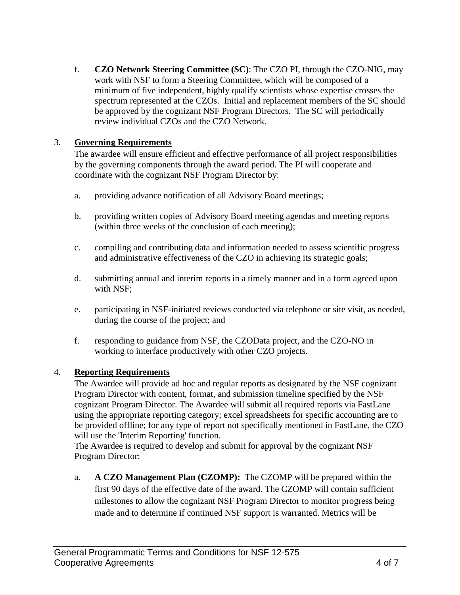f. **CZO Network Steering Committee (SC)**: The CZO PI, through the CZO-NIG, may work with NSF to form a Steering Committee, which will be composed of a minimum of five independent, highly qualify scientists whose expertise crosses the spectrum represented at the CZOs. Initial and replacement members of the SC should be approved by the cognizant NSF Program Directors. The SC will periodically review individual CZOs and the CZO Network.

# 3. **Governing Requirements**

The awardee will ensure efficient and effective performance of all project responsibilities by the governing components through the award period. The PI will cooperate and coordinate with the cognizant NSF Program Director by:

- a. providing advance notification of all Advisory Board meetings;
- b. providing written copies of Advisory Board meeting agendas and meeting reports (within three weeks of the conclusion of each meeting);
- c. compiling and contributing data and information needed to assess scientific progress and administrative effectiveness of the CZO in achieving its strategic goals;
- d. submitting annual and interim reports in a timely manner and in a form agreed upon with NSF;
- e. participating in NSF-initiated reviews conducted via telephone or site visit, as needed, during the course of the project; and
- f. responding to guidance from NSF, the CZOData project, and the CZO-NO in working to interface productively with other CZO projects.

## 4. **Reporting Requirements**

The Awardee will provide ad hoc and regular reports as designated by the NSF cognizant Program Director with content, format, and submission timeline specified by the NSF cognizant Program Director. The Awardee will submit all required reports via FastLane using the appropriate reporting category; excel spreadsheets for specific accounting are to be provided offline; for any type of report not specifically mentioned in FastLane, the CZO will use the 'Interim Reporting' function.

The Awardee is required to develop and submit for approval by the cognizant NSF Program Director:

a. **A CZO Management Plan (CZOMP):** The CZOMP will be prepared within the first 90 days of the effective date of the award. The CZOMP will contain sufficient milestones to allow the cognizant NSF Program Director to monitor progress being made and to determine if continued NSF support is warranted. Metrics will be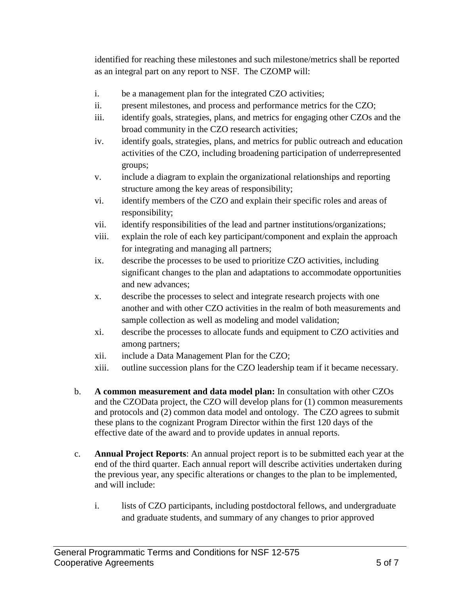identified for reaching these milestones and such milestone/metrics shall be reported as an integral part on any report to NSF. The CZOMP will:

- i. be a management plan for the integrated CZO activities;
- ii. present milestones, and process and performance metrics for the CZO;
- iii. identify goals, strategies, plans, and metrics for engaging other CZOs and the broad community in the CZO research activities;
- iv. identify goals, strategies, plans, and metrics for public outreach and education activities of the CZO, including broadening participation of underrepresented groups;
- v. include a diagram to explain the organizational relationships and reporting structure among the key areas of responsibility;
- vi. identify members of the CZO and explain their specific roles and areas of responsibility;
- vii. identify responsibilities of the lead and partner institutions/organizations;
- viii. explain the role of each key participant/component and explain the approach for integrating and managing all partners;
- ix. describe the processes to be used to prioritize CZO activities, including significant changes to the plan and adaptations to accommodate opportunities and new advances;
- x. describe the processes to select and integrate research projects with one another and with other CZO activities in the realm of both measurements and sample collection as well as modeling and model validation;
- xi. describe the processes to allocate funds and equipment to CZO activities and among partners;
- xii. include a Data Management Plan for the CZO;
- xiii. outline succession plans for the CZO leadership team if it became necessary.
- b. **A common measurement and data model plan:** In consultation with other CZOs and the CZOData project, the CZO will develop plans for (1) common measurements and protocols and (2) common data model and ontology. The CZO agrees to submit these plans to the cognizant Program Director within the first 120 days of the effective date of the award and to provide updates in annual reports.
- c. **Annual Project Reports**: An annual project report is to be submitted each year at the end of the third quarter. Each annual report will describe activities undertaken during the previous year, any specific alterations or changes to the plan to be implemented, and will include:
	- i. lists of CZO participants, including postdoctoral fellows, and undergraduate and graduate students, and summary of any changes to prior approved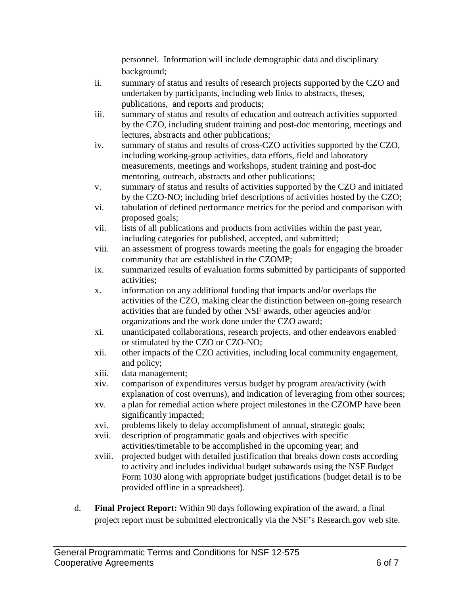personnel. Information will include demographic data and disciplinary background;

- ii. summary of status and results of research projects supported by the CZO and undertaken by participants, including web links to abstracts, theses, publications, and reports and products;
- iii. summary of status and results of education and outreach activities supported by the CZO, including student training and post-doc mentoring, meetings and lectures, abstracts and other publications;
- iv. summary of status and results of cross-CZO activities supported by the CZO, including working-group activities, data efforts, field and laboratory measurements, meetings and workshops, student training and post-doc mentoring, outreach, abstracts and other publications;
- v. summary of status and results of activities supported by the CZO and initiated by the CZO-NO; including brief descriptions of activities hosted by the CZO;
- vi. tabulation of defined performance metrics for the period and comparison with proposed goals;
- vii. lists of all publications and products from activities within the past year, including categories for published, accepted, and submitted;
- viii. an assessment of progress towards meeting the goals for engaging the broader community that are established in the CZOMP;
- ix. summarized results of evaluation forms submitted by participants of supported activities;
- x. information on any additional funding that impacts and/or overlaps the activities of the CZO, making clear the distinction between on-going research activities that are funded by other NSF awards, other agencies and/or organizations and the work done under the CZO award;
- xi. unanticipated collaborations, research projects, and other endeavors enabled or stimulated by the CZO or CZO-NO;
- xii. other impacts of the CZO activities, including local community engagement, and policy;
- xiii. data management;
- xiv. comparison of expenditures versus budget by program area/activity (with explanation of cost overruns), and indication of leveraging from other sources;
- xv. a plan for remedial action where project milestones in the CZOMP have been significantly impacted;
- xvi. problems likely to delay accomplishment of annual, strategic goals;
- xvii. description of programmatic goals and objectives with specific activities/timetable to be accomplished in the upcoming year; and
- xviii. projected budget with detailed justification that breaks down costs according to activity and includes individual budget subawards using the NSF Budget Form 1030 along with appropriate budget justifications (budget detail is to be provided offline in a spreadsheet).
- d. **Final Project Report:** Within 90 days following expiration of the award, a final project report must be submitted electronically via the NSF's Research.gov web site.